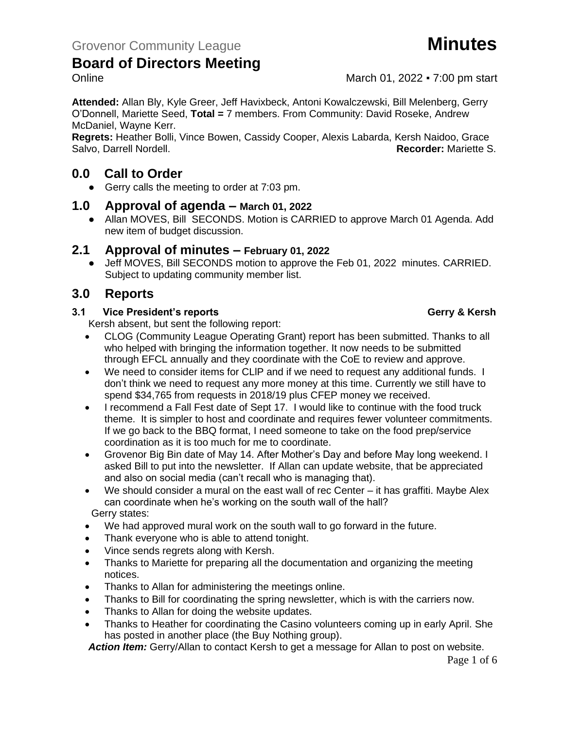

# **Board of Directors Meeting**

Online March 01, 2022 • 7:00 pm start

**Attended:** Allan Bly, Kyle Greer, Jeff Havixbeck, Antoni Kowalczewski, Bill Melenberg, Gerry O'Donnell, Mariette Seed, **Total =** 7 members. From Community: David Roseke, Andrew McDaniel, Wayne Kerr.

**Regrets:** Heather Bolli, Vince Bowen, Cassidy Cooper, Alexis Labarda, Kersh Naidoo, Grace Salvo, Darrell Nordell. **Recorder:** Mariette S.

# **0.0 Call to Order**

● Gerry calls the meeting to order at 7:03 pm.

# **1.0 Approval of agenda – March 01, 2022**

● Allan MOVES, Bill SECONDS. Motion is CARRIED to approve March 01 Agenda. Add new item of budget discussion.

# **2.1 Approval of minutes – February 01, 2022**

Jeff MOVES, Bill SECONDS motion to approve the Feb 01, 2022 minutes. CARRIED. Subject to updating community member list.

# **3.0 Reports**

### **3.1 Vice President's reports Gerry & Kersh**

Kersh absent, but sent the following report:

- CLOG (Community League Operating Grant) report has been submitted. Thanks to all who helped with bringing the information together. It now needs to be submitted through EFCL annually and they coordinate with the CoE to review and approve.
- We need to consider items for CLlP and if we need to request any additional funds. I don't think we need to request any more money at this time. Currently we still have to spend \$34,765 from requests in 2018/19 plus CFEP money we received.
- I recommend a Fall Fest date of Sept 17. I would like to continue with the food truck theme. It is simpler to host and coordinate and requires fewer volunteer commitments. If we go back to the BBQ format, I need someone to take on the food prep/service coordination as it is too much for me to coordinate.
- Grovenor Big Bin date of May 14. After Mother's Day and before May long weekend. I asked Bill to put into the newsletter. If Allan can update website, that be appreciated and also on social media (can't recall who is managing that).
- We should consider a mural on the east wall of rec Center it has graffiti. Maybe Alex can coordinate when he's working on the south wall of the hall? Gerry states:
- We had approved mural work on the south wall to go forward in the future.
- Thank everyone who is able to attend tonight.
- Vince sends regrets along with Kersh.
- Thanks to Mariette for preparing all the documentation and organizing the meeting notices.
- Thanks to Allan for administering the meetings online.
- Thanks to Bill for coordinating the spring newsletter, which is with the carriers now.
- Thanks to Allan for doing the website updates.
- Thanks to Heather for coordinating the Casino volunteers coming up in early April. She has posted in another place (the Buy Nothing group).

*Action Item:* Gerry/Allan to contact Kersh to get a message for Allan to post on website.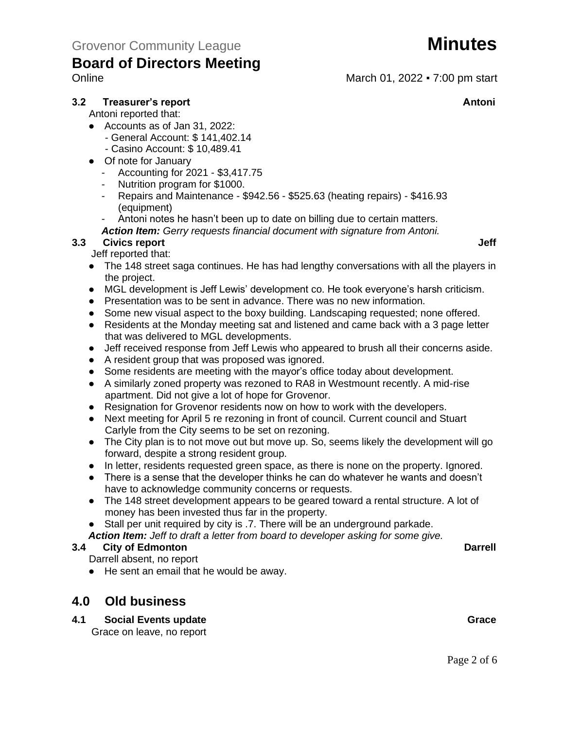

# **Board of Directors Meeting**

Online March 01, 2022 • 7:00 pm start

# **3.2 Treasurer's report Antoni**

Antoni reported that:

- Accounts as of Jan 31, 2022:
	- General Account: \$ 141,402.14
	- Casino Account: \$ 10,489.41
- Of note for January
	- Accounting for 2021 \$3,417.75
	- Nutrition program for \$1000.
	- Repairs and Maintenance \$942.56 \$525.63 (heating repairs) \$416.93 (equipment)
	- Antoni notes he hasn't been up to date on billing due to certain matters.
	- *Action Item: Gerry requests financial document with signature from Antoni.*

# **3.3 Civics report Jeff**

- Jeff reported that:
	- The 148 street saga continues. He has had lengthy conversations with all the players in the project.
	- MGL development is Jeff Lewis' development co. He took everyone's harsh criticism.
	- Presentation was to be sent in advance. There was no new information.
	- Some new visual aspect to the boxy building. Landscaping requested; none offered.
	- Residents at the Monday meeting sat and listened and came back with a 3 page letter that was delivered to MGL developments.
	- Jeff received response from Jeff Lewis who appeared to brush all their concerns aside.
	- A resident group that was proposed was ignored.
	- Some residents are meeting with the mayor's office today about development.
	- A similarly zoned property was rezoned to RA8 in Westmount recently. A mid-rise apartment. Did not give a lot of hope for Grovenor.
	- Resignation for Grovenor residents now on how to work with the developers.
	- Next meeting for April 5 re rezoning in front of council. Current council and Stuart Carlyle from the City seems to be set on rezoning.
	- The City plan is to not move out but move up. So, seems likely the development will go forward, despite a strong resident group.
	- In letter, residents requested green space, as there is none on the property. Ignored.
	- There is a sense that the developer thinks he can do whatever he wants and doesn't have to acknowledge community concerns or requests.
	- The 148 street development appears to be geared toward a rental structure. A lot of money has been invested thus far in the property.
	- Stall per unit required by city is .7. There will be an underground parkade.
	- *Action Item: Jeff to draft a letter from board to developer asking for some give.*

#### **3.4 City of Edmonton Darrell**

- Darrell absent, no report
- He sent an email that he would be away.

# **4.0 Old business**

**4.1** Social Events update Grace Grace Grace Grace Grace Grace Grace Grace Grace Grace Grace Grace Grace Grace Grace Grace Grace Grace Grace Grace Grace Grace Grace Grace Grace Grace Grace Grace Grace Grace Grace Grace Gra Grace on leave, no report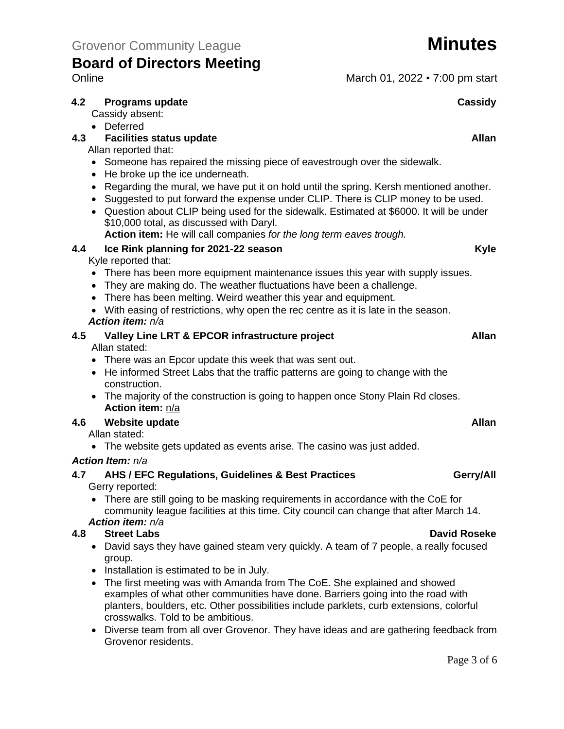# **Board of Directors Meeting** Online March 01, 2022 • 7:00 pm start

### **4.2 Programs update Cassidy Cassidy** Cassidy absent: • Deferred **4.3 4.3 Facilities status update Allan** Allan reported that: • Someone has repaired the missing piece of eavestrough over the sidewalk. • He broke up the ice underneath. • Regarding the mural, we have put it on hold until the spring. Kersh mentioned another. • Suggested to put forward the expense under CLIP. There is CLIP money to be used. • Question about CLIP being used for the sidewalk. Estimated at \$6000. It will be under \$10,000 total, as discussed with Daryl. **Action item:** He will call companies *for the long term eaves trough.* **4.4 Ice Rink planning for 2021-22 season Kyle** Kyle reported that: • There has been more equipment maintenance issues this year with supply issues. • They are making do. The weather fluctuations have been a challenge. • There has been melting. Weird weather this year and equipment. • With easing of restrictions, why open the rec centre as it is late in the season. *Action item: n/a* **4.5 Valley Line LRT & EPCOR infrastructure project Allan** Allan stated: • There was an Epcor update this week that was sent out. • He informed Street Labs that the traffic patterns are going to change with the construction. • The majority of the construction is going to happen once Stony Plain Rd closes. **Action item:** n/a **4.6 Website update Allan** Allan stated: • The website gets updated as events arise. The casino was just added. *Action Item: n/a* **4.7 AHS / EFC Regulations, Guidelines & Best Practices Gerry/All**

Gerry reported:

• There are still going to be masking requirements in accordance with the CoE for community league facilities at this time. City council can change that after March 14. *Action item: n/a*

### **4.8 Street Labs David Roseke**

- David says they have gained steam very quickly. A team of 7 people, a really focused group.
- Installation is estimated to be in July.
- The first meeting was with Amanda from The CoE. She explained and showed examples of what other communities have done. Barriers going into the road with planters, boulders, etc. Other possibilities include parklets, curb extensions, colorful crosswalks. Told to be ambitious.
- Diverse team from all over Grovenor. They have ideas and are gathering feedback from Grovenor residents.

Page 3 of 6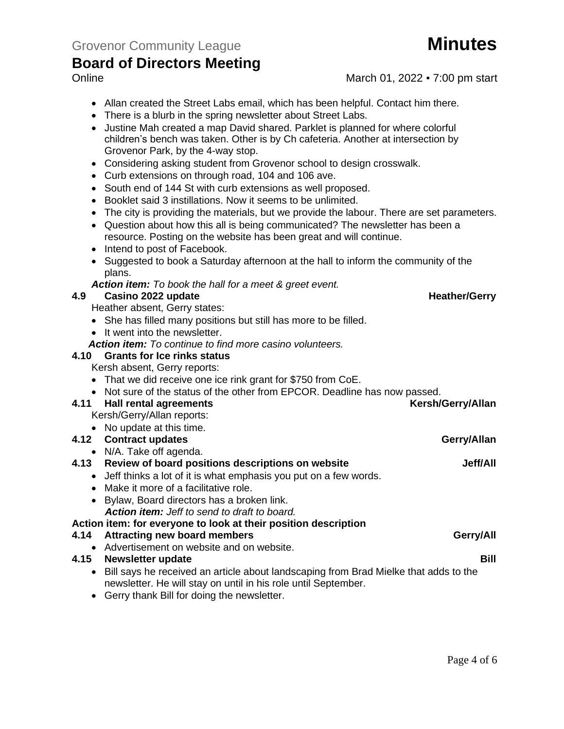# **Board of Directors Meeting**

- Online March 01, 2022 7:00 pm start
	- Allan created the Street Labs email, which has been helpful. Contact him there.
	- There is a blurb in the spring newsletter about Street Labs.
	- Justine Mah created a map David shared. Parklet is planned for where colorful children's bench was taken. Other is by Ch cafeteria. Another at intersection by Grovenor Park, by the 4-way stop.
	- Considering asking student from Grovenor school to design crosswalk.
	- Curb extensions on through road, 104 and 106 ave.
	- South end of 144 St with curb extensions as well proposed.
	- Booklet said 3 instillations. Now it seems to be unlimited.
	- The city is providing the materials, but we provide the labour. There are set parameters.
	- Question about how this all is being communicated? The newsletter has been a resource. Posting on the website has been great and will continue.
	- Intend to post of Facebook.
	- Suggested to book a Saturday afternoon at the hall to inform the community of the plans.

*Action item: To book the hall for a meet & greet event.*

#### **4.9 Casino 2022 update Heather/Gerry Heather/Gerry**

Heather absent, Gerry states:

- She has filled many positions but still has more to be filled.
- It went into the newsletter.
- *Action item: To continue to find more casino volunteers.*

### **4.10 Grants for Ice rinks status**

Kersh absent, Gerry reports:

- That we did receive one ice rink grant for \$750 from CoE.
- Not sure of the status of the other from EPCOR. Deadline has now passed.

#### **4.11 Hall rental agreements Kersh/Gerry/Allan**

Kersh/Gerry/Allan reports:

• No update at this time.

### **4.12 Contract updates Gerry/Allan**

#### • N/A. Take off agenda.

#### **4.13 Review of board positions descriptions on website Jeff/All**

- Jeff thinks a lot of it is what emphasis you put on a few words.
- Make it more of a facilitative role.
- Bylaw, Board directors has a broken link. *Action item: Jeff to send to draft to board.*

#### **Action item: for everyone to look at their position description**

# **4.14 Attracting new board members Gerry/All**

• Advertisement on website and on website.

# **4.15** Newsletter update **Bill Bill Bill Bill Bill**

- Bill says he received an article about landscaping from Brad Mielke that adds to the newsletter. He will stay on until in his role until September.
- Gerry thank Bill for doing the newsletter.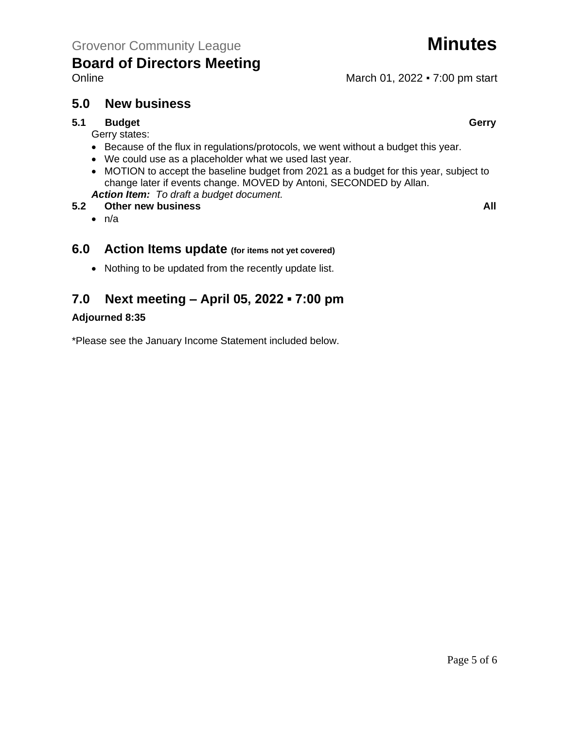

# **5.0 New business**

### **5.1 Budget Gerry**

Gerry states:

- Because of the flux in regulations/protocols, we went without a budget this year.
- We could use as a placeholder what we used last year.
- MOTION to accept the baseline budget from 2021 as a budget for this year, subject to change later if events change. MOVED by Antoni, SECONDED by Allan.
- *Action Item: To draft a budget document.*
- **5.2 Other new business All**
	- $\bullet$  n/a

# **6.0 Action Items update (for items not yet covered)**

• Nothing to be updated from the recently update list.

# **7.0 Next meeting – April 05, 2022 ▪ 7:00 pm**

### **Adjourned 8:35**

\*Please see the January Income Statement included below.